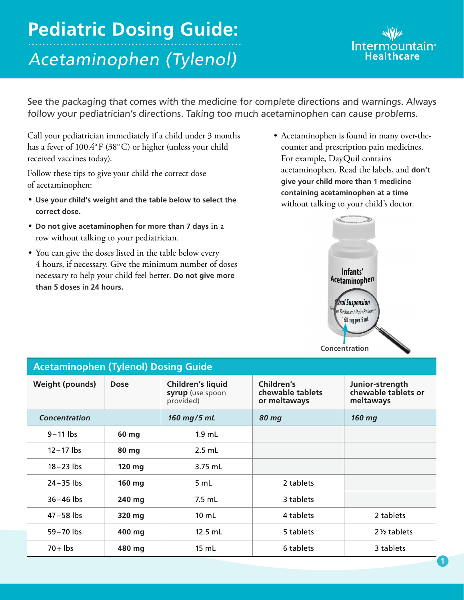## **Pediatric Dosing Guide:**  Acetaminophen (Tylenol)

## Intermo Healthcare

See the packaging that comes with the medicine for complete directions and warnings. Always follow your pediatrician's directions. Taking too much acetaminophen can cause problems.

Call your pediatrician immediately if a child under 3 months has a fever of 100.4°F (38°C) or higher (unless your child received vaccines today).

Follow these tips to give your child the correct dose of acetaminophen:

- **Use your child's weight and the table below to select the correct dose.**
- **Do not give acetaminophen for more than 7 days** in a row without talking to your pediatrician.
- You can give the doses listed in the table below every 4 hours, if necessary. Give the minimum number of doses necessary to help your child feel better. **Do not give more than 5 doses in 24 hours.**
- Acetaminophen is found in many over-thecounter and prescription pain medicines. For example, DayQuil contains acetaminophen. Read the labels, and **don't give your child more than 1 medicine containing acetaminophen at a time** without talking to your child's doctor.



| <b>Acetaminophen (Tylenol) Dosing Guide</b> |             |                                                           |                                                |                                                     |  |  |  |  |
|---------------------------------------------|-------------|-----------------------------------------------------------|------------------------------------------------|-----------------------------------------------------|--|--|--|--|
| <b>Weight (pounds)</b>                      | <b>Dose</b> | <b>Children's liquid</b><br>syrup (use spoon<br>provided) | Children's<br>chewable tablets<br>or meltaways | Junior-strength<br>chewable tablets or<br>meltaways |  |  |  |  |
| <b>Concentration</b>                        |             | 160 mg/5 mL                                               | <b>80 mg</b>                                   | 160 mg                                              |  |  |  |  |
| $9 - 11$ lbs                                | 60 mg       | $1.9$ mL                                                  |                                                |                                                     |  |  |  |  |
| $12 - 17$ lbs                               | 80 mg       | $2.5$ mL                                                  |                                                |                                                     |  |  |  |  |
| $18 - 23$ lbs                               | 120 mg      | 3.75 mL                                                   |                                                |                                                     |  |  |  |  |
| $24 - 35$ lbs                               | 160 mg      | 5 mL                                                      | 2 tablets                                      |                                                     |  |  |  |  |
| $36 - 46$ lbs                               | 240 mg      | $7.5$ mL                                                  | 3 tablets                                      |                                                     |  |  |  |  |
| $47 - 58$ lbs                               | 320 mg      | $10 \mathrm{m}$ L                                         | 4 tablets                                      | 2 tablets                                           |  |  |  |  |
| $59 - 70$ lbs                               | 400 mg      | $12.5$ mL                                                 | 5 tablets                                      | $2\frac{1}{2}$ tablets                              |  |  |  |  |
| $70 +$ lbs                                  | 480 mg      | 15 mL                                                     | 6 tablets                                      | 3 tablets                                           |  |  |  |  |